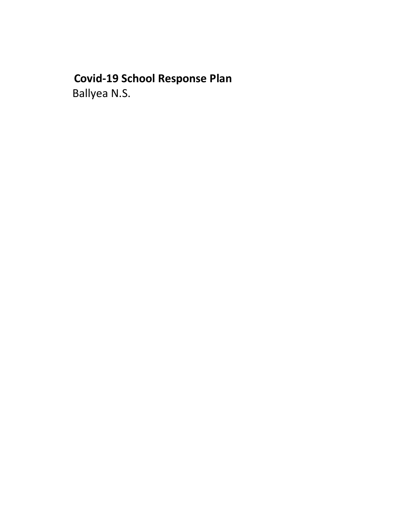# Covid-19 School Response Plan Ballyea N.S.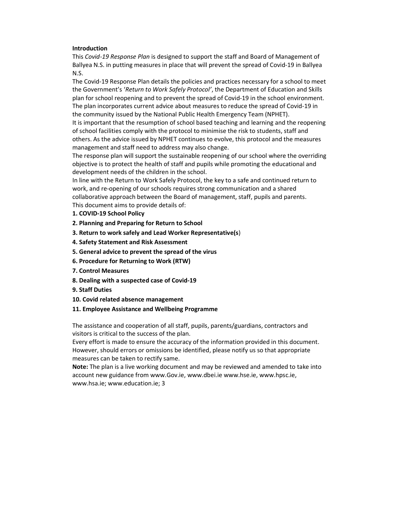#### **Introduction**

This Covid-19 Response Plan is designed to support the staff and Board of Management of Ballyea N.S. in putting measures in place that will prevent the spread of Covid-19 in Ballyea N.S.

The Covid-19 Response Plan details the policies and practices necessary for a school to meet the Government's 'Return to Work Safely Protocol', the Department of Education and Skills plan for school reopening and to prevent the spread of Covid-19 in the school environment. The plan incorporates current advice about measures to reduce the spread of Covid-19 in the community issued by the National Public Health Emergency Team (NPHET).

It is important that the resumption of school based teaching and learning and the reopening of school facilities comply with the protocol to minimise the risk to students, staff and others. As the advice issued by NPHET continues to evolve, this protocol and the measures management and staff need to address may also change.

The response plan will support the sustainable reopening of our school where the overriding objective is to protect the health of staff and pupils while promoting the educational and development needs of the children in the school.

In line with the Return to Work Safely Protocol, the key to a safe and continued return to work, and re-opening of our schools requires strong communication and a shared collaborative approach between the Board of management, staff, pupils and parents. This document aims to provide details of:

- 1. COVID-19 School Policy
- 2. Planning and Preparing for Return to School
- 3. Return to work safely and Lead Worker Representative(s)
- 4. Safety Statement and Risk Assessment
- 5. General advice to prevent the spread of the virus
- 6. Procedure for Returning to Work (RTW)
- 7. Control Measures
- 8. Dealing with a suspected case of Covid-19
- 9. Staff Duties
- 10. Covid related absence management
- 11. Employee Assistance and Wellbeing Programme

The assistance and cooperation of all staff, pupils, parents/guardians, contractors and visitors is critical to the success of the plan.

Every effort is made to ensure the accuracy of the information provided in this document. However, should errors or omissions be identified, please notify us so that appropriate measures can be taken to rectify same.

Note: The plan is a live working document and may be reviewed and amended to take into account new guidance from www.Gov.ie, www.dbei.ie www.hse.ie, www.hpsc.ie, www.hsa.ie; www.education.ie; 3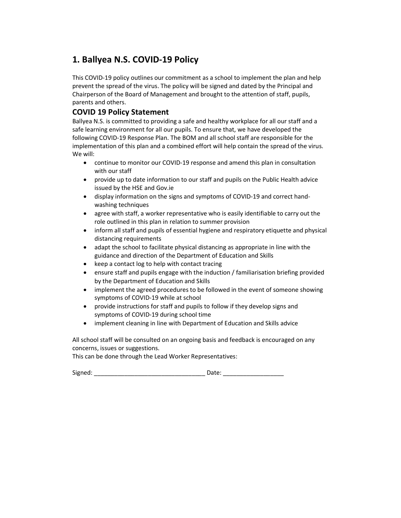## 1. Ballyea N.S. COVID-19 Policy

This COVID-19 policy outlines our commitment as a school to implement the plan and help prevent the spread of the virus. The policy will be signed and dated by the Principal and Chairperson of the Board of Management and brought to the attention of staff, pupils, parents and others.

## COVID 19 Policy Statement

Ballyea N.S. is committed to providing a safe and healthy workplace for all our staff and a safe learning environment for all our pupils. To ensure that, we have developed the following COVID-19 Response Plan. The BOM and all school staff are responsible for the implementation of this plan and a combined effort will help contain the spread of the virus. We will:

- continue to monitor our COVID-19 response and amend this plan in consultation with our staff
- provide up to date information to our staff and pupils on the Public Health advice issued by the HSE and Gov.ie
- display information on the signs and symptoms of COVID-19 and correct handwashing techniques
- agree with staff, a worker representative who is easily identifiable to carry out the role outlined in this plan in relation to summer provision
- inform all staff and pupils of essential hygiene and respiratory etiquette and physical distancing requirements
- adapt the school to facilitate physical distancing as appropriate in line with the guidance and direction of the Department of Education and Skills
- keep a contact log to help with contact tracing
- ensure staff and pupils engage with the induction / familiarisation briefing provided by the Department of Education and Skills
- implement the agreed procedures to be followed in the event of someone showing symptoms of COVID-19 while at school
- provide instructions for staff and pupils to follow if they develop signs and symptoms of COVID-19 during school time
- implement cleaning in line with Department of Education and Skills advice

All school staff will be consulted on an ongoing basis and feedback is encouraged on any concerns, issues or suggestions.

This can be done through the Lead Worker Representatives:

Signed: \_\_\_\_\_\_\_\_\_\_\_\_\_\_\_\_\_\_\_\_\_\_\_\_\_\_\_\_\_\_\_\_\_ Date: \_\_\_\_\_\_\_\_\_\_\_\_\_\_\_\_\_\_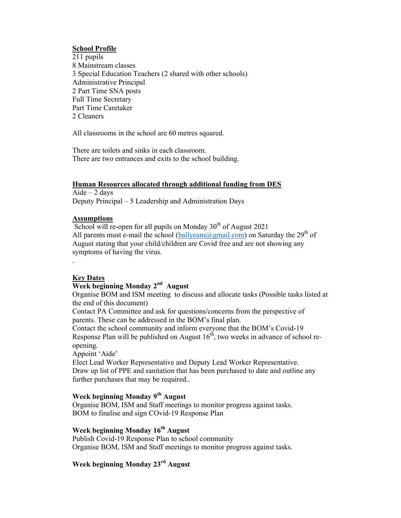#### School Profile

211 pupils 8 Mainstream classes 3 Special Education Teachers (2 shared with other schools) Administrative Principal 2 Part Time SNA posts Full Time Secretary Part Time Caretaker 2 Cleaners

All classrooms in the school are 60 metres squared.

There are toilets and sinks in each classroom. There are two entrances and exits to the school building.

#### Human Resources allocated through additional funding from DES

Aide  $-2$  days Deputy Principal – 5 Leadership and Administration Days

## **Assumptions**

School will re-open for all pupils on Monday  $30<sup>th</sup>$  of August 2021 All parents must e-mail the school (ballyeans  $(a)$  gmail.com) on Saturday the 29<sup>th</sup> of August stating that your child/children are Covid free and are not showing any symptoms of having the virus.

#### Key Dates

.

## Week beginning Monday 2<sup>nd</sup> August

Organise BOM and ISM meeting to discuss and allocate tasks (Possible tasks listed at the end of this document)

Contact PA Committee and ask for questions/concerns from the perspective of parents. These can be addressed in the BOM's final plan.

Contact the school community and inform everyone that the BOM's Covid-19 Response Plan will be published on August  $16<sup>th</sup>$ , two weeks in advance of school reopening.

Appoint 'Aide'

Elect Lead Worker Representative and Deputy Lead Worker Representative. Draw up list of PPE and sanitation that has been purchased to date and outline any further purchases that may be required..

## Week beginning Monday 9<sup>th</sup> August

Organise BOM, ISM and Staff meetings to monitor progress against tasks. BOM to finalise and sign COvid-19 Response Plan

## Week beginning Monday 16<sup>th</sup> August

Publish Covid-19 Response Plan to school community Organise BOM, ISM and Staff meetings to monitor progress against tasks.

## Week beginning Monday 23rd August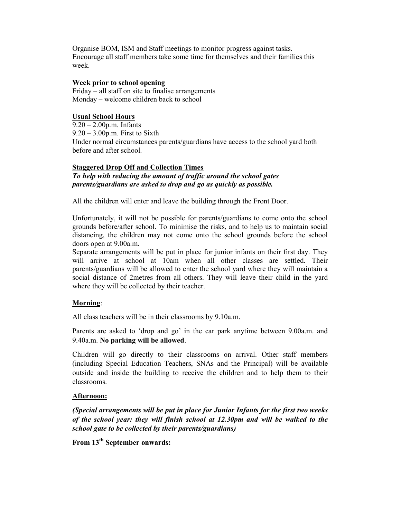Organise BOM, ISM and Staff meetings to monitor progress against tasks. Encourage all staff members take some time for themselves and their families this week.

#### Week prior to school opening

Friday – all staff on site to finalise arrangements Monday – welcome children back to school

#### Usual School Hours

9.20 – 2.00p.m. Infants  $9.20 - 3.00$ p.m. First to Sixth Under normal circumstances parents/guardians have access to the school yard both before and after school.

#### **Staggered Drop Off and Collection Times**

To help with reducing the amount of traffic around the school gates parents/guardians are asked to drop and go as quickly as possible.

All the children will enter and leave the building through the Front Door.

Unfortunately, it will not be possible for parents/guardians to come onto the school grounds before/after school. To minimise the risks, and to help us to maintain social distancing, the children may not come onto the school grounds before the school doors open at 9.00a.m.

Separate arrangements will be put in place for junior infants on their first day. They will arrive at school at 10am when all other classes are settled. Their parents/guardians will be allowed to enter the school yard where they will maintain a social distance of 2metres from all others. They will leave their child in the yard where they will be collected by their teacher.

#### Morning:

All class teachers will be in their classrooms by 9.10a.m.

Parents are asked to 'drop and go' in the car park anytime between 9.00a.m. and 9.40a.m. No parking will be allowed.

Children will go directly to their classrooms on arrival. Other staff members (including Special Education Teachers, SNAs and the Principal) will be available outside and inside the building to receive the children and to help them to their classrooms.

#### Afternoon:

(Special arrangements will be put in place for Junior Infants for the first two weeks of the school year: they will finish school at 12.30pm and will be walked to the school gate to be collected by their parents/guardians)

From 13th September onwards: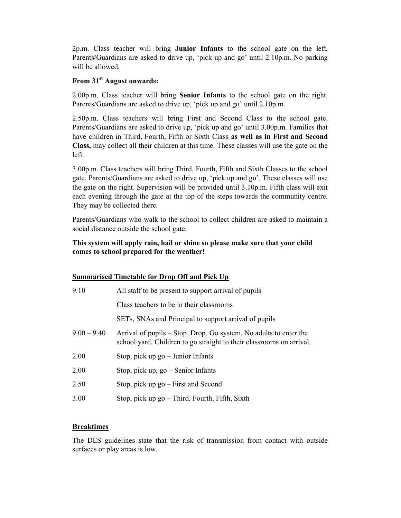2p.m. Class teacher will bring Junior Infants to the school gate on the left, Parents/Guardians are asked to drive up, 'pick up and go' until 2.10p.m. No parking will be allowed.

## From 31<sup>st</sup> August onwards:

2.00p.m. Class teacher will bring **Senior Infants** to the school gate on the right. Parents/Guardians are asked to drive up, 'pick up and go' until 2.10p.m.

2.50p.m. Class teachers will bring First and Second Class to the school gate. Parents/Guardians are asked to drive up, 'pick up and go' until 3.00p.m. Families that have children in Third, Fourth, Fifth or Sixth Class as well as in First and Second Class, may collect all their children at this time. These classes will use the gate on the left.

3.00p.m. Class teachers will bring Third, Fourth, Fifth and Sixth Classes to the school gate. Parents/Guardians are asked to drive up, 'pick up and go'. These classes will use the gate on the right. Supervision will be provided until 3.10p.m. Fifth class will exit each evening through the gate at the top of the steps towards the community centre. They may be collected there.

Parents/Guardians who walk to the school to collect children are asked to maintain a social distance outside the school gate.

## This system will apply rain, hail or shine so please make sure that your child comes to school prepared for the weather!

## Summarised Timetable for Drop Off and Pick Up

| 9.10          | All staff to be present to support arrival of pupils                                                                                      |  |
|---------------|-------------------------------------------------------------------------------------------------------------------------------------------|--|
|               | Class teachers to be in their classrooms                                                                                                  |  |
|               | SETs, SNAs and Principal to support arrival of pupils                                                                                     |  |
| $9.00 - 9.40$ | Arrival of pupils – Stop, Drop, Go system. No adults to enter the<br>school yard. Children to go straight to their classrooms on arrival. |  |
| 2.00          | Stop, pick up $go - Junior$ Infants                                                                                                       |  |
| 2.00          | Stop, pick up, $go$ – Senior Infants                                                                                                      |  |
| 2.50          | Stop, pick up $go$ – First and Second                                                                                                     |  |
| 3.00          | Stop, pick up $go$ – Third, Fourth, Fifth, Sixth                                                                                          |  |

## **Breaktimes**

The DES guidelines state that the risk of transmission from contact with outside surfaces or play areas is low.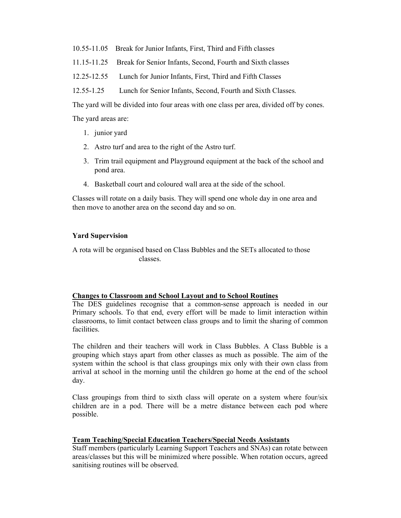- 10.55-11.05 Break for Junior Infants, First, Third and Fifth classes
- 11.15-11.25 Break for Senior Infants, Second, Fourth and Sixth classes
- 12.25-12.55 Lunch for Junior Infants, First, Third and Fifth Classes

12.55-1.25 Lunch for Senior Infants, Second, Fourth and Sixth Classes.

The yard will be divided into four areas with one class per area, divided off by cones.

The yard areas are:

- 1. junior yard
- 2. Astro turf and area to the right of the Astro turf.
- 3. Trim trail equipment and Playground equipment at the back of the school and pond area.
- 4. Basketball court and coloured wall area at the side of the school.

Classes will rotate on a daily basis. They will spend one whole day in one area and then move to another area on the second day and so on.

#### Yard Supervision

A rota will be organised based on Class Bubbles and the SETs allocated to those classes.

#### Changes to Classroom and School Layout and to School Routines

The DES guidelines recognise that a common-sense approach is needed in our Primary schools. To that end, every effort will be made to limit interaction within classrooms, to limit contact between class groups and to limit the sharing of common facilities.

The children and their teachers will work in Class Bubbles. A Class Bubble is a grouping which stays apart from other classes as much as possible. The aim of the system within the school is that class groupings mix only with their own class from arrival at school in the morning until the children go home at the end of the school day.

Class groupings from third to sixth class will operate on a system where four/six children are in a pod. There will be a metre distance between each pod where possible.

#### Team Teaching/Special Education Teachers/Special Needs Assistants

Staff members (particularly Learning Support Teachers and SNAs) can rotate between areas/classes but this will be minimized where possible. When rotation occurs, agreed sanitising routines will be observed.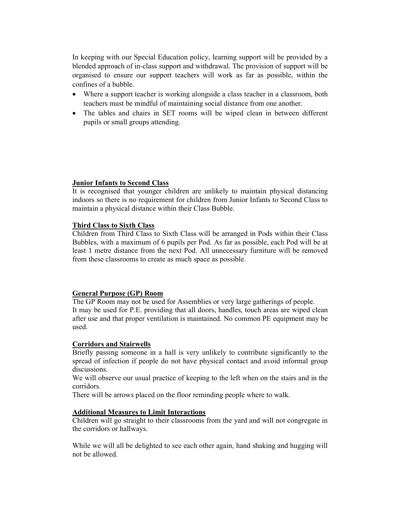In keeping with our Special Education policy, learning support will be provided by a blended approach of in-class support and withdrawal. The provision of support will be organised to ensure our support teachers will work as far as possible, within the confines of a bubble.

- Where a support teacher is working alongside a class teacher in a classroom, both teachers must be mindful of maintaining social distance from one another.
- The tables and chairs in SET rooms will be wiped clean in between different pupils or small groups attending.

#### Junior Infants to Second Class

It is recognised that younger children are unlikely to maintain physical distancing indoors so there is no requirement for children from Junior Infants to Second Class to maintain a physical distance within their Class Bubble.

#### Third Class to Sixth Class

Children from Third Class to Sixth Class will be arranged in Pods within their Class Bubbles, with a maximum of 6 pupils per Pod. As far as possible, each Pod will be at least 1 metre distance from the next Pod. All unnecessary furniture will be removed from these classrooms to create as much space as possible.

## General Purpose (GP) Room

The GP Room may not be used for Assemblies or very large gatherings of people. It may be used for P.E. providing that all doors, handles, touch areas are wiped clean after use and that proper ventilation is maintained. No common PE equipment may be used.

#### Corridors and Stairwells

Briefly passing someone in a hall is very unlikely to contribute significantly to the spread of infection if people do not have physical contact and avoid informal group discussions.

We will observe our usual practice of keeping to the left when on the stairs and in the corridors.

There will be arrows placed on the floor reminding people where to walk.

#### Additional Measures to Limit Interactions

Children will go straight to their classrooms from the yard and will not congregate in the corridors or hallways.

While we will all be delighted to see each other again, hand shaking and hugging will not be allowed.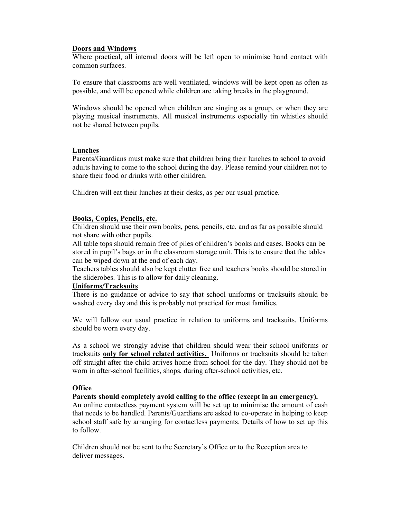#### Doors and Windows

Where practical, all internal doors will be left open to minimise hand contact with common surfaces.

To ensure that classrooms are well ventilated, windows will be kept open as often as possible, and will be opened while children are taking breaks in the playground.

Windows should be opened when children are singing as a group, or when they are playing musical instruments. All musical instruments especially tin whistles should not be shared between pupils.

#### Lunches

Parents/Guardians must make sure that children bring their lunches to school to avoid adults having to come to the school during the day. Please remind your children not to share their food or drinks with other children.

Children will eat their lunches at their desks, as per our usual practice.

#### Books, Copies, Pencils, etc.

Children should use their own books, pens, pencils, etc. and as far as possible should not share with other pupils.

All table tops should remain free of piles of children's books and cases. Books can be stored in pupil's bags or in the classroom storage unit. This is to ensure that the tables can be wiped down at the end of each day.

Teachers tables should also be kept clutter free and teachers books should be stored in the sliderobes. This is to allow for daily cleaning.

#### Uniforms/Tracksuits

There is no guidance or advice to say that school uniforms or tracksuits should be washed every day and this is probably not practical for most families.

We will follow our usual practice in relation to uniforms and tracksuits. Uniforms should be worn every day.

As a school we strongly advise that children should wear their school uniforms or tracksuits only for school related activities. Uniforms or tracksuits should be taken off straight after the child arrives home from school for the day. They should not be worn in after-school facilities, shops, during after-school activities, etc.

#### **Office**

#### Parents should completely avoid calling to the office (except in an emergency).

An online contactless payment system will be set up to minimise the amount of cash that needs to be handled. Parents/Guardians are asked to co-operate in helping to keep school staff safe by arranging for contactless payments. Details of how to set up this to follow.

Children should not be sent to the Secretary's Office or to the Reception area to deliver messages.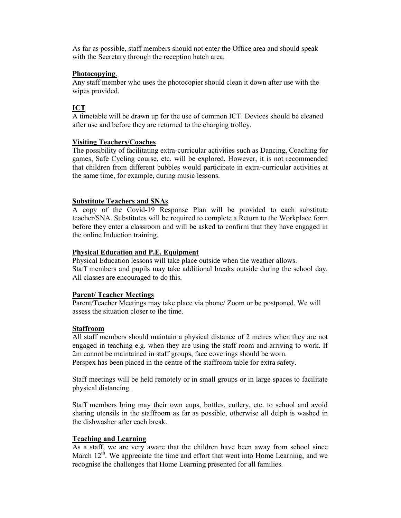As far as possible, staff members should not enter the Office area and should speak with the Secretary through the reception hatch area.

#### Photocopying.

Any staff member who uses the photocopier should clean it down after use with the wipes provided.

## ICT

A timetable will be drawn up for the use of common ICT. Devices should be cleaned after use and before they are returned to the charging trolley.

#### Visiting Teachers/Coaches

The possibility of facilitating extra-curricular activities such as Dancing, Coaching for games, Safe Cycling course, etc. will be explored. However, it is not recommended that children from different bubbles would participate in extra-curricular activities at the same time, for example, during music lessons.

#### Substitute Teachers and SNAs

A copy of the Covid-19 Response Plan will be provided to each substitute teacher/SNA. Substitutes will be required to complete a Return to the Workplace form before they enter a classroom and will be asked to confirm that they have engaged in the online Induction training.

#### Physical Education and P.E. Equipment

Physical Education lessons will take place outside when the weather allows. Staff members and pupils may take additional breaks outside during the school day. All classes are encouraged to do this.

## Parent/ Teacher Meetings

Parent/Teacher Meetings may take place via phone/ Zoom or be postponed. We will assess the situation closer to the time.

#### Staffroom

All staff members should maintain a physical distance of 2 metres when they are not engaged in teaching e.g. when they are using the staff room and arriving to work. If 2m cannot be maintained in staff groups, face coverings should be worn.

Perspex has been placed in the centre of the staffroom table for extra safety.

Staff meetings will be held remotely or in small groups or in large spaces to facilitate physical distancing.

Staff members bring may their own cups, bottles, cutlery, etc. to school and avoid sharing utensils in the staffroom as far as possible, otherwise all delph is washed in the dishwasher after each break.

## Teaching and Learning

As a staff, we are very aware that the children have been away from school since March  $12<sup>th</sup>$ . We appreciate the time and effort that went into Home Learning, and we recognise the challenges that Home Learning presented for all families.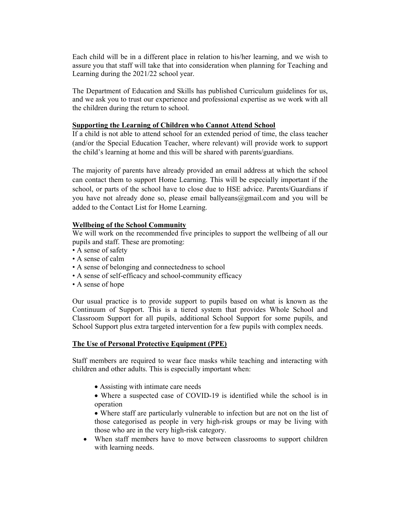Each child will be in a different place in relation to his/her learning, and we wish to assure you that staff will take that into consideration when planning for Teaching and Learning during the 2021/22 school year.

The Department of Education and Skills has published Curriculum guidelines for us, and we ask you to trust our experience and professional expertise as we work with all the children during the return to school.

#### Supporting the Learning of Children who Cannot Attend School

If a child is not able to attend school for an extended period of time, the class teacher (and/or the Special Education Teacher, where relevant) will provide work to support the child's learning at home and this will be shared with parents/guardians.

The majority of parents have already provided an email address at which the school can contact them to support Home Learning. This will be especially important if the school, or parts of the school have to close due to HSE advice. Parents/Guardians if you have not already done so, please email ballyeans  $@g$  mail.com and you will be added to the Contact List for Home Learning.

#### Wellbeing of the School Community

We will work on the recommended five principles to support the wellbeing of all our pupils and staff. These are promoting:

- A sense of safety
- A sense of calm
- A sense of belonging and connectedness to school
- A sense of self-efficacy and school-community efficacy
- A sense of hope

Our usual practice is to provide support to pupils based on what is known as the Continuum of Support. This is a tiered system that provides Whole School and Classroom Support for all pupils, additional School Support for some pupils, and School Support plus extra targeted intervention for a few pupils with complex needs.

#### The Use of Personal Protective Equipment (PPE)

Staff members are required to wear face masks while teaching and interacting with children and other adults. This is especially important when:

- Assisting with intimate care needs
- Where a suspected case of COVID-19 is identified while the school is in operation

 Where staff are particularly vulnerable to infection but are not on the list of those categorised as people in very high-risk groups or may be living with those who are in the very high-risk category.

 When staff members have to move between classrooms to support children with learning needs.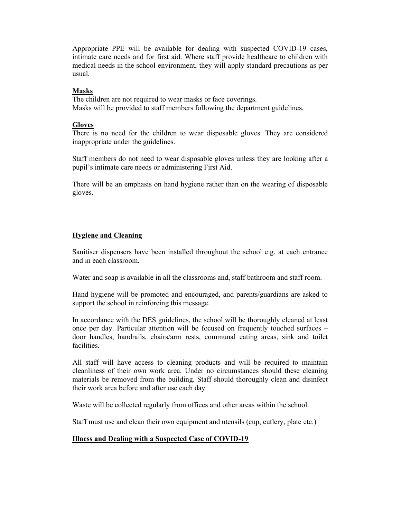Appropriate PPE will be available for dealing with suspected COVID-19 cases, intimate care needs and for first aid. Where staff provide healthcare to children with medical needs in the school environment, they will apply standard precautions as per usual.

#### Masks

The children are not required to wear masks or face coverings. Masks will be provided to staff members following the department guidelines.

#### **Gloves**

There is no need for the children to wear disposable gloves. They are considered inappropriate under the guidelines.

Staff members do not need to wear disposable gloves unless they are looking after a pupil's intimate care needs or administering First Aid.

There will be an emphasis on hand hygiene rather than on the wearing of disposable gloves.

## Hygiene and Cleaning

Sanitiser dispensers have been installed throughout the school e.g. at each entrance and in each classroom.

Water and soap is available in all the classrooms and, staff bathroom and staff room.

Hand hygiene will be promoted and encouraged, and parents/guardians are asked to support the school in reinforcing this message.

In accordance with the DES guidelines, the school will be thoroughly cleaned at least once per day. Particular attention will be focused on frequently touched surfaces – door handles, handrails, chairs/arm rests, communal eating areas, sink and toilet facilities.

All staff will have access to cleaning products and will be required to maintain cleanliness of their own work area. Under no circumstances should these cleaning materials be removed from the building. Staff should thoroughly clean and disinfect their work area before and after use each day.

Waste will be collected regularly from offices and other areas within the school.

Staff must use and clean their own equipment and utensils (cup, cutlery, plate etc.)

#### Illness and Dealing with a Suspected Case of COVID-19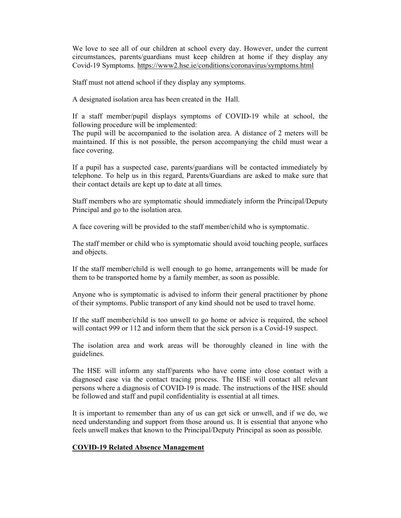We love to see all of our children at school every day. However, under the current circumstances, parents/guardians must keep children at home if they display any Covid-19 Symptoms. https://www2.hse.ie/conditions/coronavirus/symptoms.html

Staff must not attend school if they display any symptoms.

A designated isolation area has been created in the Hall.

If a staff member/pupil displays symptoms of COVID-19 while at school, the following procedure will be implemented:

The pupil will be accompanied to the isolation area. A distance of 2 meters will be maintained. If this is not possible, the person accompanying the child must wear a face covering.

If a pupil has a suspected case, parents/guardians will be contacted immediately by telephone. To help us in this regard, Parents/Guardians are asked to make sure that their contact details are kept up to date at all times.

Staff members who are symptomatic should immediately inform the Principal/Deputy Principal and go to the isolation area.

A face covering will be provided to the staff member/child who is symptomatic.

The staff member or child who is symptomatic should avoid touching people, surfaces and objects.

If the staff member/child is well enough to go home, arrangements will be made for them to be transported home by a family member, as soon as possible.

Anyone who is symptomatic is advised to inform their general practitioner by phone of their symptoms. Public transport of any kind should not be used to travel home.

If the staff member/child is too unwell to go home or advice is required, the school will contact 999 or 112 and inform them that the sick person is a Covid-19 suspect.

The isolation area and work areas will be thoroughly cleaned in line with the guidelines.

The HSE will inform any staff/parents who have come into close contact with a diagnosed case via the contact tracing process. The HSE will contact all relevant persons where a diagnosis of COVID-19 is made. The instructions of the HSE should be followed and staff and pupil confidentiality is essential at all times.

It is important to remember than any of us can get sick or unwell, and if we do, we need understanding and support from those around us. It is essential that anyone who feels unwell makes that known to the Principal/Deputy Principal as soon as possible.

#### COVID-19 Related Absence Management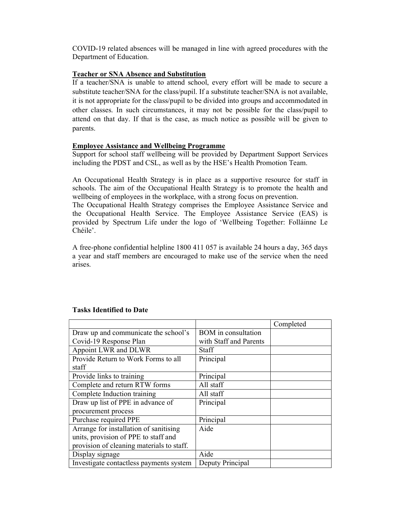COVID-19 related absences will be managed in line with agreed procedures with the Department of Education.

#### Teacher or SNA Absence and Substitution

If a teacher/SNA is unable to attend school, every effort will be made to secure a substitute teacher/SNA for the class/pupil. If a substitute teacher/SNA is not available, it is not appropriate for the class/pupil to be divided into groups and accommodated in other classes. In such circumstances, it may not be possible for the class/pupil to attend on that day. If that is the case, as much notice as possible will be given to parents.

#### Employee Assistance and Wellbeing Programme

Support for school staff wellbeing will be provided by Department Support Services including the PDST and CSL, as well as by the HSE's Health Promotion Team.

An Occupational Health Strategy is in place as a supportive resource for staff in schools. The aim of the Occupational Health Strategy is to promote the health and wellbeing of employees in the workplace, with a strong focus on prevention.

The Occupational Health Strategy comprises the Employee Assistance Service and the Occupational Health Service. The Employee Assistance Service (EAS) is provided by Spectrum Life under the logo of 'Wellbeing Together: Folláinne Le Chéile'.

A free-phone confidential helpline 1800 411 057 is available 24 hours a day, 365 days a year and staff members are encouraged to make use of the service when the need arises.

|                                           |                            | Completed |
|-------------------------------------------|----------------------------|-----------|
| Draw up and communicate the school's      | <b>BOM</b> in consultation |           |
| Covid-19 Response Plan                    | with Staff and Parents     |           |
| Appoint LWR and DLWR                      | Staff                      |           |
| Provide Return to Work Forms to all       | Principal                  |           |
| staff                                     |                            |           |
| Provide links to training                 | Principal                  |           |
| Complete and return RTW forms             | All staff                  |           |
| Complete Induction training               | All staff                  |           |
| Draw up list of PPE in advance of         | Principal                  |           |
| procurement process                       |                            |           |
| Purchase required PPE                     | Principal                  |           |
| Arrange for installation of sanitising    | Aide                       |           |
| units, provision of PPE to staff and      |                            |           |
| provision of cleaning materials to staff. |                            |           |
| Display signage                           | Aide                       |           |
| Investigate contactless payments system   | Deputy Principal           |           |

#### Tasks Identified to Date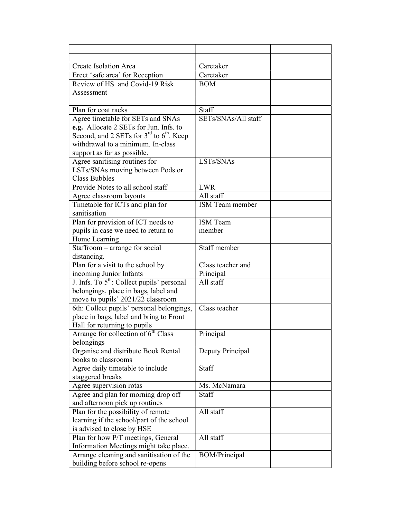| Create Isolation Area                                  | Caretaker           |
|--------------------------------------------------------|---------------------|
| Erect 'safe area' for Reception                        | Caretaker           |
| Review of HS and Covid-19 Risk                         | <b>BOM</b>          |
| Assessment                                             |                     |
|                                                        |                     |
| Plan for coat racks                                    | Staff               |
| Agree timetable for SETs and SNAs                      | SETs/SNAs/All staff |
| e.g. Allocate 2 SETs for Jun. Infs. to                 |                     |
| Second, and 2 SETs for $3^{rd}$ to $6^{th}$ . Keep     |                     |
| withdrawal to a minimum. In-class                      |                     |
| support as far as possible.                            |                     |
| Agree sanitising routines for                          | LSTs/SNAs           |
| LSTs/SNAs moving between Pods or                       |                     |
| <b>Class Bubbles</b>                                   |                     |
| Provide Notes to all school staff                      | <b>LWR</b>          |
| Agree classroom layouts                                | All staff           |
| Timetable for ICTs and plan for                        | ISM Team member     |
| sanitisation                                           |                     |
| Plan for provision of ICT needs to                     | <b>ISM</b> Team     |
| pupils in case we need to return to                    | member              |
| Home Learning                                          | Staff member        |
| Staffroom - arrange for social                         |                     |
| distancing.<br>Plan for a visit to the school by       | Class teacher and   |
| incoming Junior Infants                                | Principal           |
| J. Infs. To 5 <sup>th</sup> : Collect pupils' personal | All staff           |
| belongings, place in bags, label and                   |                     |
| move to pupils' 2021/22 classroom                      |                     |
| 6th: Collect pupils' personal belongings,              | Class teacher       |
| place in bags, label and bring to Front                |                     |
| Hall for returning to pupils                           |                     |
| Arrange for collection of 6 <sup>th</sup> Class        | Principal           |
| belongings                                             |                     |
| Organise and distribute Book Rental                    | Deputy Principal    |
| books to classrooms                                    |                     |
| Agree daily timetable to include                       | Staff               |
| staggered breaks                                       |                     |
| Agree supervision rotas                                | Ms. McNamara        |
| Agree and plan for morning drop off                    | Staff               |
| and afternoon pick up routines                         |                     |
| Plan for the possibility of remote                     | All staff           |
| learning if the school/part of the school              |                     |
| is advised to close by HSE                             |                     |
| Plan for how P/T meetings, General                     | All staff           |
| Information Meetings might take place.                 |                     |
| Arrange cleaning and sanitisation of the               | BOM/Principal       |
| building before school re-opens                        |                     |